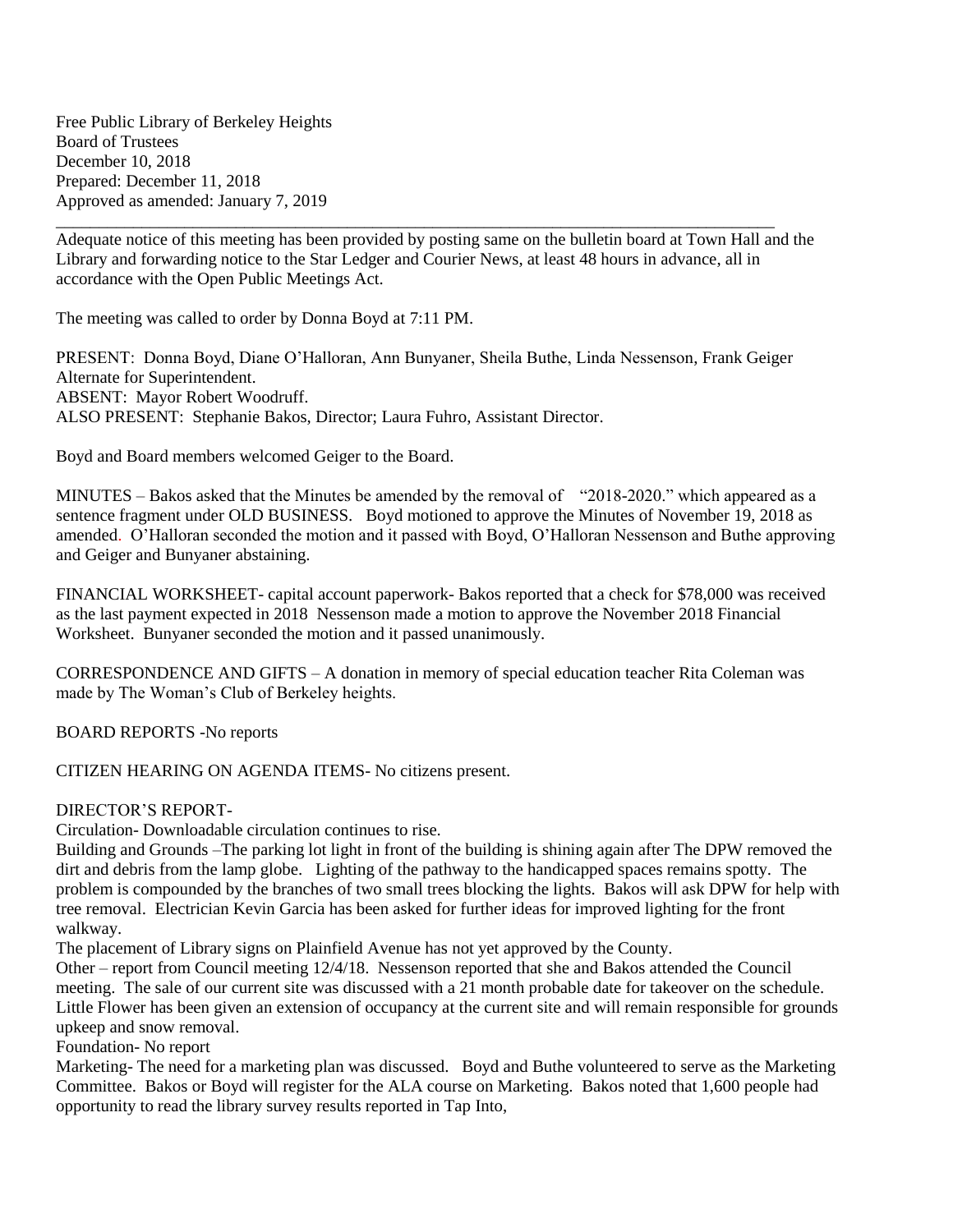Free Public Library of Berkeley Heights Board of Trustees December 10, 2018 Prepared: December 11, 2018 Approved as amended: January 7, 2019

\_\_\_\_\_\_\_\_\_\_\_\_\_\_\_\_\_\_\_\_\_\_\_\_\_\_\_\_\_\_\_\_\_\_\_\_\_\_\_\_\_\_\_\_\_\_\_\_\_\_\_\_\_\_\_\_\_\_\_\_\_\_\_\_\_\_\_\_\_\_\_\_\_\_\_\_\_\_\_\_\_\_\_\_ Adequate notice of this meeting has been provided by posting same on the bulletin board at Town Hall and the Library and forwarding notice to the Star Ledger and Courier News, at least 48 hours in advance, all in accordance with the Open Public Meetings Act.

The meeting was called to order by Donna Boyd at 7:11 PM.

PRESENT: Donna Boyd, Diane O'Halloran, Ann Bunyaner, Sheila Buthe, Linda Nessenson, Frank Geiger Alternate for Superintendent. ABSENT: Mayor Robert Woodruff. ALSO PRESENT: Stephanie Bakos, Director; Laura Fuhro, Assistant Director.

Boyd and Board members welcomed Geiger to the Board.

MINUTES – Bakos asked that the Minutes be amended by the removal of "2018-2020." which appeared as a sentence fragment under OLD BUSINESS. Boyd motioned to approve the Minutes of November 19, 2018 as amended. O'Halloran seconded the motion and it passed with Boyd, O'Halloran Nessenson and Buthe approving and Geiger and Bunyaner abstaining.

FINANCIAL WORKSHEET- capital account paperwork- Bakos reported that a check for \$78,000 was received as the last payment expected in 2018 Nessenson made a motion to approve the November 2018 Financial Worksheet. Bunyaner seconded the motion and it passed unanimously.

CORRESPONDENCE AND GIFTS – A donation in memory of special education teacher Rita Coleman was made by The Woman's Club of Berkeley heights.

BOARD REPORTS -No reports

CITIZEN HEARING ON AGENDA ITEMS- No citizens present.

## DIRECTOR'S REPORT-

Circulation- Downloadable circulation continues to rise.

Building and Grounds –The parking lot light in front of the building is shining again after The DPW removed the dirt and debris from the lamp globe. Lighting of the pathway to the handicapped spaces remains spotty. The problem is compounded by the branches of two small trees blocking the lights. Bakos will ask DPW for help with tree removal. Electrician Kevin Garcia has been asked for further ideas for improved lighting for the front walkway.

The placement of Library signs on Plainfield Avenue has not yet approved by the County.

Other – report from Council meeting 12/4/18. Nessenson reported that she and Bakos attended the Council meeting. The sale of our current site was discussed with a 21 month probable date for takeover on the schedule. Little Flower has been given an extension of occupancy at the current site and will remain responsible for grounds upkeep and snow removal.

Foundation- No report

Marketing- The need for a marketing plan was discussed. Boyd and Buthe volunteered to serve as the Marketing Committee. Bakos or Boyd will register for the ALA course on Marketing. Bakos noted that 1,600 people had opportunity to read the library survey results reported in Tap Into,